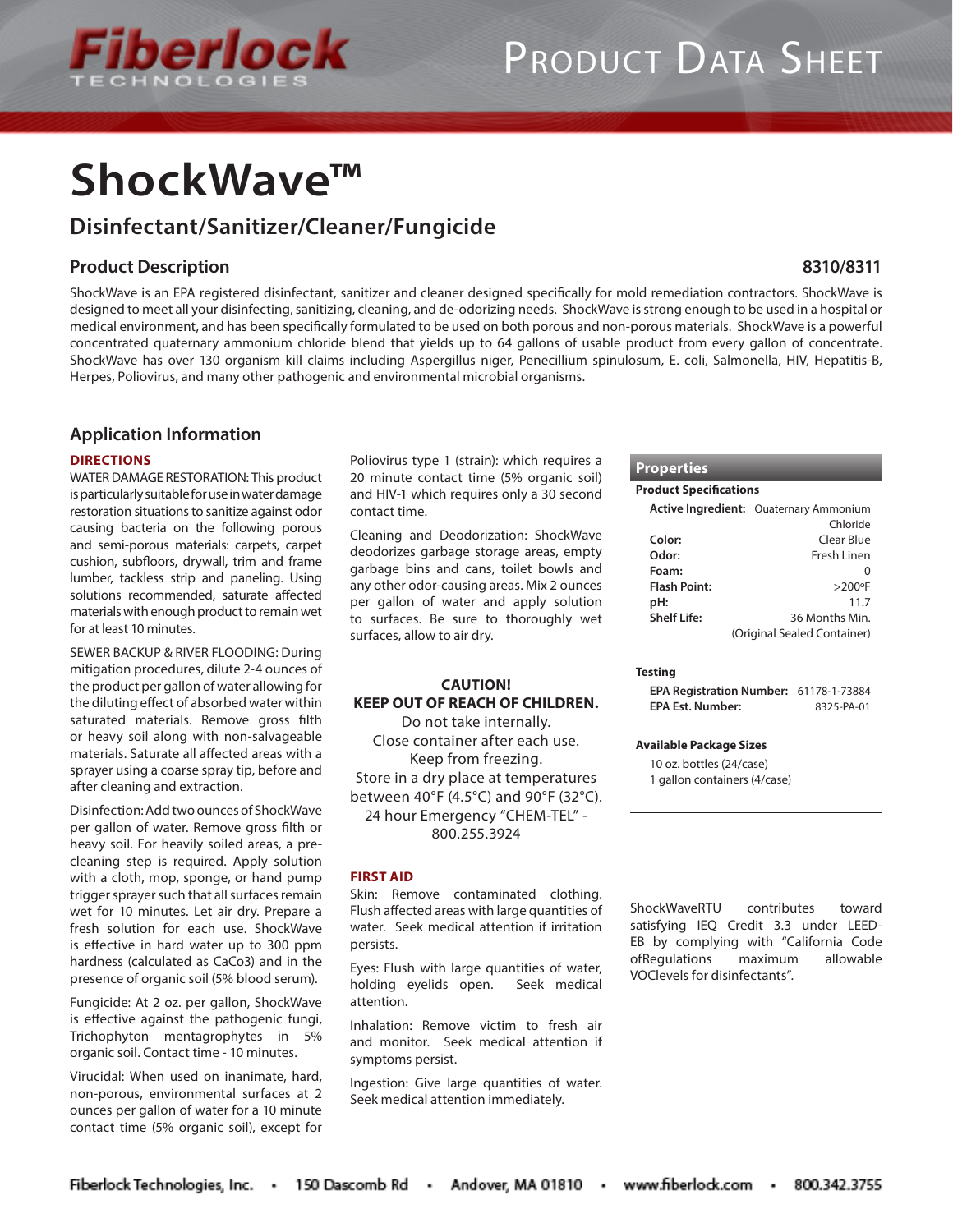

# PRODUCT DATA SHEET

# **ShockWave™**

## **Disinfectant/Sanitizer/Cleaner/Fungicide**

### **Product Description**

ShockWave is an EPA registered disinfectant, sanitizer and cleaner designed specifically for mold remediation contractors. ShockWave is designed to meet all your disinfecting, sanitizing, cleaning, and de-odorizing needs. ShockWave is strong enough to be used in a hospital or medical environment, and has been specifically formulated to be used on both porous and non-porous materials. ShockWave is a powerful concentrated quaternary ammonium chloride blend that yields up to 64 gallons of usable product from every gallon of concentrate. ShockWave has over 130 organism kill claims including Aspergillus niger, Penecillium spinulosum, E. coli, Salmonella, HIV, Hepatitis-B, Herpes, Poliovirus, and many other pathogenic and environmental microbial organisms.

### **Application Information**

#### **DIRECTIONS**

WATER DAMAGE RESTORATION: This product is particularly suitable for use in water damage restoration situations to sanitize against odor causing bacteria on the following porous and semi-porous materials: carpets, carpet cushion, subfloors, drywall, trim and frame lumber, tackless strip and paneling. Using solutions recommended, saturate affected materials with enough product to remain wet for at least 10 minutes.

SEWER BACKUP & RIVER FLOODING: During mitigation procedures, dilute 2-4 ounces of the product per gallon of water allowing for the diluting effect of absorbed water within saturated materials. Remove gross filth or heavy soil along with non-salvageable materials. Saturate all affected areas with a sprayer using a coarse spray tip, before and after cleaning and extraction.

Disinfection: Add two ounces of ShockWave per gallon of water. Remove gross filth or heavy soil. For heavily soiled areas, a precleaning step is required. Apply solution with a cloth, mop, sponge, or hand pump trigger sprayer such that all surfaces remain wet for 10 minutes. Let air dry. Prepare a fresh solution for each use. ShockWave is effective in hard water up to 300 ppm hardness (calculated as CaCo3) and in the presence of organic soil (5% blood serum).

Fungicide: At 2 oz. per gallon, ShockWave is effective against the pathogenic fungi, Trichophyton mentagrophytes in 5% organic soil. Contact time - 10 minutes.

Virucidal: When used on inanimate, hard, non-porous, environmental surfaces at 2 ounces per gallon of water for a 10 minute contact time (5% organic soil), except for Poliovirus type 1 (strain): which requires a 20 minute contact time (5% organic soil) and HIV-1 which requires only a 30 second contact time.

Cleaning and Deodorization: ShockWave deodorizes garbage storage areas, empty garbage bins and cans, toilet bowls and any other odor-causing areas. Mix 2 ounces per gallon of water and apply solution to surfaces. Be sure to thoroughly wet surfaces, allow to air dry.

#### **CAUTION! KEEP OUT OF REACH OF CHILDREN.**

Do not take internally. Close container after each use. Keep from freezing. Store in a dry place at temperatures between 40°F (4.5°C) and 90°F (32°C). 24 hour Emergency "CHEM-TEL" - 800.255.3924

#### **FIRST AID**

Skin: Remove contaminated clothing. Flush affected areas with large quantities of water. Seek medical attention if irritation persists.

Eyes: Flush with large quantities of water, holding eyelids open. Seek medical attention.

Inhalation: Remove victim to fresh air and monitor. Seek medical attention if symptoms persist.

Ingestion: Give large quantities of water. Seek medical attention immediately.

#### **Properties**

#### **Product Specifications**

|                     | Active Ingredient: Quaternary Ammonium |
|---------------------|----------------------------------------|
|                     | Chloride                               |
| Color:              | Clear Blue                             |
| Odor:               | Fresh Linen                            |
| Foam:               |                                        |
| <b>Flash Point:</b> | $>200$ <sup>o</sup> F                  |
| pH:                 | 11.7                                   |
| Shelf Life:         | 36 Months Min.                         |
|                     | (Original Sealed Container)            |

**8310/8311**

#### **Testing**

**EPA Registration Number:** 61178-1-73884 **EPA Est. Number:** 8325-PA-01

#### **Available Package Sizes**

10 oz. bottles (24/case) 1 gallon containers (4/case)

ShockWaveRTU contributes toward satisfying IEQ Credit 3.3 under LEED-EB by complying with "California Code ofRegulations maximum allowable VOClevels for disinfectants".